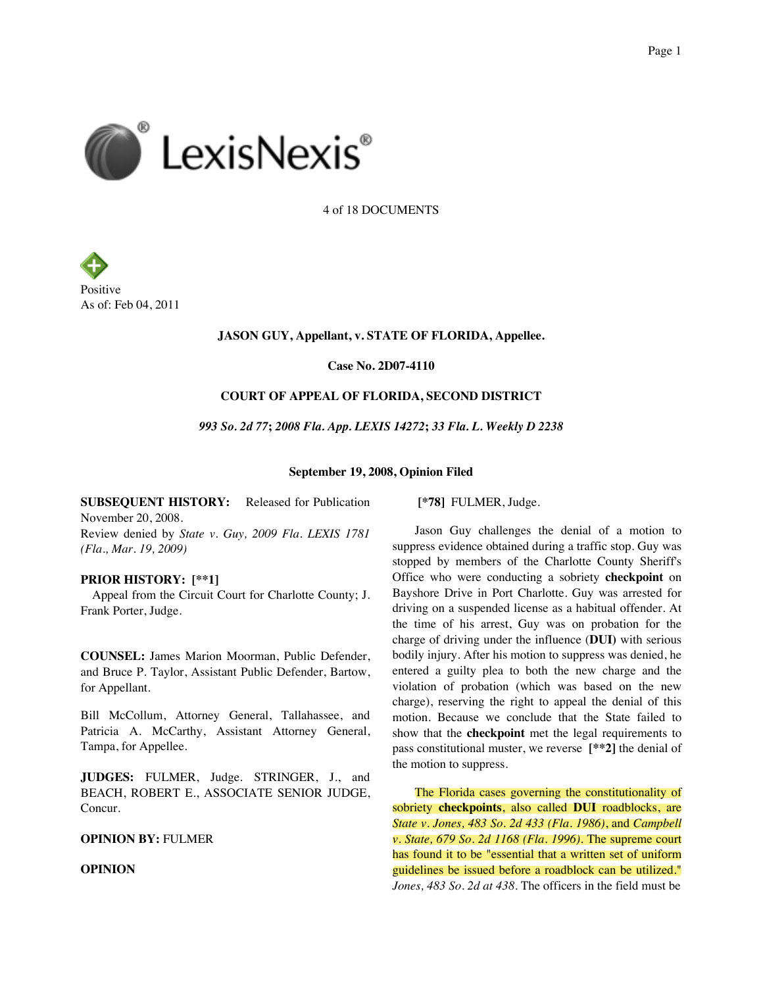

4 of 18 DOCUMENTS



## **JASON GUY, Appellant, v. STATE OF FLORIDA, Appellee.**

**Case No. 2D07-4110**

## **COURT OF APPEAL OF FLORIDA, SECOND DISTRICT**

*993 So. 2d 77***;** *2008 Fla. App. LEXIS 14272***;** *33 Fla. L. Weekly D 2238*

**September 19, 2008, Opinion Filed**

**SUBSEQUENT HISTORY:** Released for Publication November 20, 2008. Review denied by *State v. Guy, 2009 Fla. LEXIS 1781 (Fla., Mar. 19, 2009)*

## **PRIOR HISTORY: [\*\*1]**

Appeal from the Circuit Court for Charlotte County; J. Frank Porter, Judge.

**COUNSEL:** James Marion Moorman, Public Defender, and Bruce P. Taylor, Assistant Public Defender, Bartow, for Appellant.

Bill McCollum, Attorney General, Tallahassee, and Patricia A. McCarthy, Assistant Attorney General, Tampa, for Appellee.

**JUDGES:** FULMER, Judge. STRINGER, J., and BEACH, ROBERT E., ASSOCIATE SENIOR JUDGE, Concur.

## **OPINION BY:** FULMER

**OPINION**

**[\*78]** FULMER, Judge.

Jason Guy challenges the denial of a motion to suppress evidence obtained during a traffic stop. Guy was stopped by members of the Charlotte County Sheriff's Office who were conducting a sobriety **checkpoint** on Bayshore Drive in Port Charlotte. Guy was arrested for driving on a suspended license as a habitual offender. At the time of his arrest, Guy was on probation for the charge of driving under the influence (**DUI)** with serious bodily injury. After his motion to suppress was denied, he entered a guilty plea to both the new charge and the violation of probation (which was based on the new charge), reserving the right to appeal the denial of this motion. Because we conclude that the State failed to show that the **checkpoint** met the legal requirements to pass constitutional muster, we reverse **[\*\*2]** the denial of the motion to suppress.

The Florida cases governing the constitutionality of sobriety **checkpoints**, also called **DUI** roadblocks, are *State v. Jones, 483 So. 2d 433 (Fla. 1986)*, and *Campbell v. State, 679 So. 2d 1168 (Fla. 1996)*. The supreme court has found it to be "essential that a written set of uniform guidelines be issued before a roadblock can be utilized." *Jones, 483 So. 2d at 438*. The officers in the field must be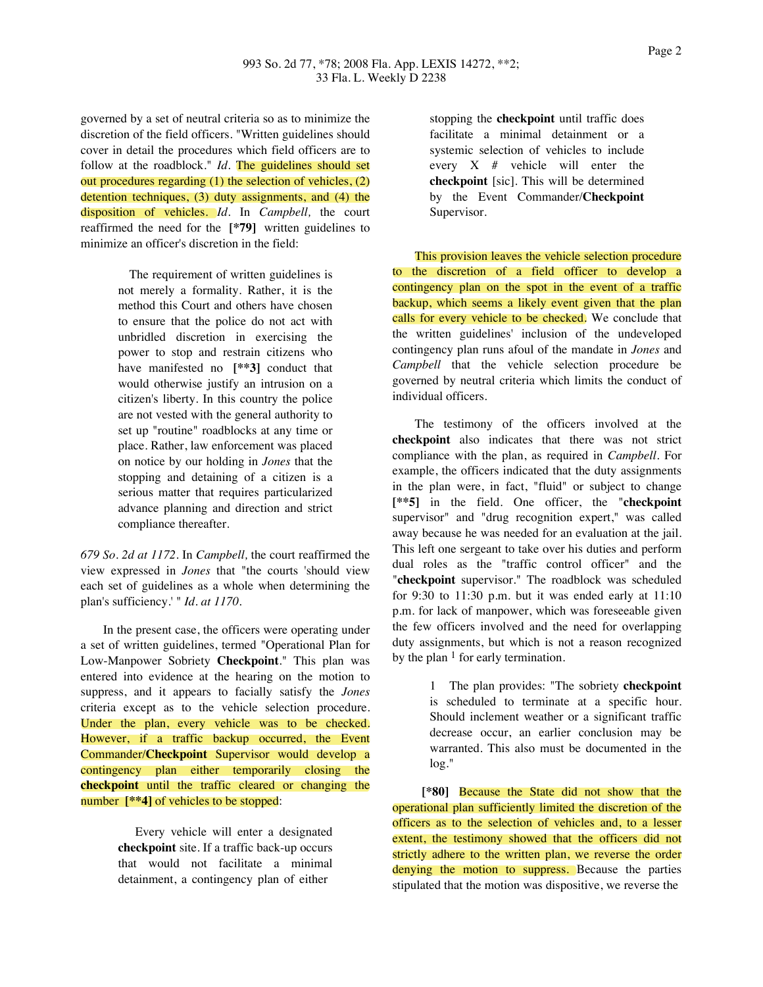governed by a set of neutral criteria so as to minimize the discretion of the field officers. "Written guidelines should cover in detail the procedures which field officers are to follow at the roadblock." *Id.* The guidelines should set out procedures regarding (1) the selection of vehicles, (2) detention techniques, (3) duty assignments, and (4) the disposition of vehicles. *Id.* In *Campbell,* the court reaffirmed the need for the **[\*79]** written guidelines to minimize an officer's discretion in the field:

> The requirement of written guidelines is not merely a formality. Rather, it is the method this Court and others have chosen to ensure that the police do not act with unbridled discretion in exercising the power to stop and restrain citizens who have manifested no **[\*\*3]** conduct that would otherwise justify an intrusion on a citizen's liberty. In this country the police are not vested with the general authority to set up "routine" roadblocks at any time or place. Rather, law enforcement was placed on notice by our holding in *Jones* that the stopping and detaining of a citizen is a serious matter that requires particularized advance planning and direction and strict compliance thereafter.

*679 So. 2d at 1172*. In *Campbell,* the court reaffirmed the view expressed in *Jones* that "the courts 'should view each set of guidelines as a whole when determining the plan's sufficiency.' " *Id. at 1170*.

In the present case, the officers were operating under a set of written guidelines, termed "Operational Plan for Low-Manpower Sobriety **Checkpoint**." This plan was entered into evidence at the hearing on the motion to suppress, and it appears to facially satisfy the *Jones* criteria except as to the vehicle selection procedure. Under the plan, every vehicle was to be checked. However, if a traffic backup occurred, the Event Commander/**Checkpoint** Supervisor would develop a contingency plan either temporarily closing the **checkpoint** until the traffic cleared or changing the number **[\*\*4]** of vehicles to be stopped:

> Every vehicle will enter a designated **checkpoint** site. If a traffic back-up occurs that would not facilitate a minimal detainment, a contingency plan of either

stopping the **checkpoint** until traffic does facilitate a minimal detainment or a systemic selection of vehicles to include every  $X \#$  vehicle will enter the **checkpoint** [sic]. This will be determined by the Event Commander/**Checkpoint** Supervisor.

This provision leaves the vehicle selection procedure to the discretion of a field officer to develop a contingency plan on the spot in the event of a traffic backup, which seems a likely event given that the plan calls for every vehicle to be checked. We conclude that the written guidelines' inclusion of the undeveloped contingency plan runs afoul of the mandate in *Jones* and *Campbell* that the vehicle selection procedure be governed by neutral criteria which limits the conduct of individual officers.

The testimony of the officers involved at the **checkpoint** also indicates that there was not strict compliance with the plan, as required in *Campbell.* For example, the officers indicated that the duty assignments in the plan were, in fact, "fluid" or subject to change **[\*\*5]** in the field. One officer, the "**checkpoint** supervisor" and "drug recognition expert," was called away because he was needed for an evaluation at the jail. This left one sergeant to take over his duties and perform dual roles as the "traffic control officer" and the "**checkpoint** supervisor." The roadblock was scheduled for 9:30 to 11:30 p.m. but it was ended early at 11:10 p.m. for lack of manpower, which was foreseeable given the few officers involved and the need for overlapping duty assignments, but which is not a reason recognized by the plan  $1$  for early termination.

> 1 The plan provides: "The sobriety **checkpoint** is scheduled to terminate at a specific hour. Should inclement weather or a significant traffic decrease occur, an earlier conclusion may be warranted. This also must be documented in the log."

**[\*80]** Because the State did not show that the operational plan sufficiently limited the discretion of the officers as to the selection of vehicles and, to a lesser extent, the testimony showed that the officers did not strictly adhere to the written plan, we reverse the order denying the motion to suppress. Because the parties stipulated that the motion was dispositive, we reverse the